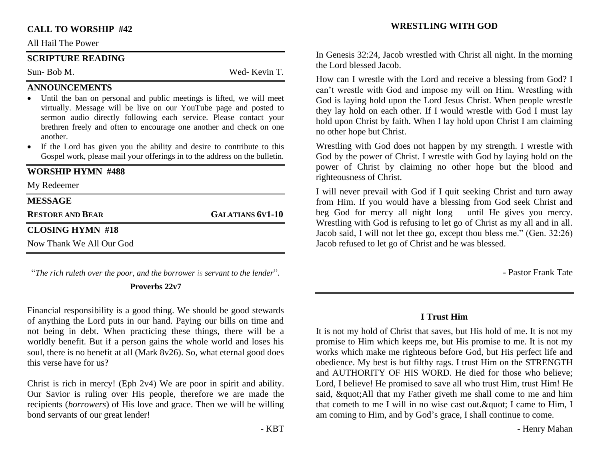#### **CALL TO WORSHIP #42**

#### All Hail The Power

#### **SCRIPTURE READING**

Sun- Bob M. Wed- Kevin T.

#### **ANNOUNCEMENTS**

- Until the ban on personal and public meetings is lifted, we will meet virtually. Message will be live on our YouTube page and posted to sermon audio directly following each service. Please contact your brethren freely and often to encourage one another and check on one another.
- If the Lord has given you the ability and desire to contribute to this Gospel work, please mail your offerings in to the address on the bulletin.

### **WORSHIP HYMN #488**

#### My Redeemer

| <b>MESSAGE</b>           |                         |
|--------------------------|-------------------------|
| <b>RESTORE AND BEAR</b>  | <b>GALATIANS 6V1-10</b> |
| <b>CLOSING HYMN #18</b>  |                         |
| Now Thank We All Our God |                         |

"*The rich ruleth over the poor, and the borrower is servant to the lender*".

#### **Proverbs 22v7**

Financial responsibility is a good thing. We should be good stewards of anything the Lord puts in our hand. Paying our bills on time and not being in debt. When practicing these things, there will be a worldly benefit. But if a person gains the whole world and loses his soul, there is no benefit at all (Mark 8v26). So, what eternal good does this verse have for us?

Christ is rich in mercy! (Eph 2v4) We are poor in spirit and ability. Our Savior is ruling over His people, therefore we are made the recipients (*borrowers*) of His love and grace. Then we will be willing bond servants of our great lender!

#### **WRESTLING WITH GOD**

In Genesis 32:24, Jacob wrestled with Christ all night. In the morning the Lord blessed Jacob.

How can I wrestle with the Lord and receive a blessing from God? I can't wrestle with God and impose my will on Him. Wrestling with God is laying hold upon the Lord Jesus Christ. When people wrestle they lay hold on each other. If I would wrestle with God I must lay hold upon Christ by faith. When I lay hold upon Christ I am claiming no other hope but Christ.

Wrestling with God does not happen by my strength. I wrestle with God by the power of Christ. I wrestle with God by laying hold on the power of Christ by claiming no other hope but the blood and righteousness of Christ.

I will never prevail with God if I quit seeking Christ and turn away from Him. If you would have a blessing from God seek Christ and beg God for mercy all night long – until He gives you mercy. Wrestling with God is refusing to let go of Christ as my all and in all. Jacob said, I will not let thee go, except thou bless me." (Gen. 32:26) Jacob refused to let go of Christ and he was blessed.

- Pastor Frank Tate

# **I Trust Him**

It is not my hold of Christ that saves, but His hold of me. It is not my promise to Him which keeps me, but His promise to me. It is not my works which make me righteous before God, but His perfect life and obedience. My best is but filthy rags. I trust Him on the STRENGTH and AUTHORITY OF HIS WORD. He died for those who believe; Lord, I believe! He promised to save all who trust Him, trust Him! He said, " All that my Father giveth me shall come to me and him that cometh to me I will in no wise cast out.  $\&$  quot; I came to Him, I am coming to Him, and by God's grace, I shall continue to come.

- Henry Mahan